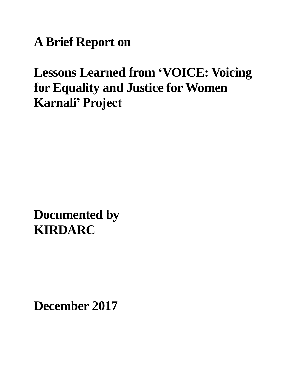**A Brief Report on**

# **Lessons Learned from "VOICE: Voicing for Equality and Justice for Women Karnali" Project**

**Documented by KIRDARC**

**December 2017**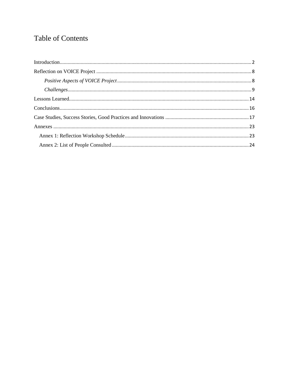# Table of Contents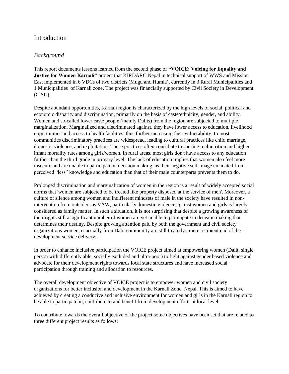# <span id="page-2-0"></span>Introduction

# *Background*

This report documents lessons learned from the second phase of **"VOICE: Voicing for Equality and Justice for Women Karnali"** project that KIRDARC Nepal in technical support of WWS and Mission East implemented in 6 VDCs of two districts (Mugu and Humla), currently in 3 Rural Municipalities and 1 Municipalities of Karnali zone. The project was financially supported by Civil Society in Development (CISU).

Despite abundant opportunities, Karnali region is characterized by the high levels of social, political and economic disparity and discrimination, primarily on the basis of caste/ethnicity, gender, and ability. Women and so-called lower caste people (mainly Dalits) from the region are subjected to multiple marginalization. Marginalized and discriminated against, they have lower access to education, livelihood opportunities and access to health facilities, thus further increasing their vulnerability. In most communities discriminatory practices are widespread, leading to cultural practices like child marriage, domestic violence, and exploitation. These practices often contribute to causing malnutrition and higher infant mortality rates among girls/women. In rural areas, most girls don't have access to any education further than the third grade in primary level. The lack of education implies that women also feel more insecure and are unable to participate in decision making, as their negative self-image emanated from perceived "less" knowledge and education than that of their male counterparts prevents them to do.

Prolonged discrimination and marginalization of women in the region is a result of widely accepted social norms that 'women are subjected to be treated like property disposed at the service of men'. Moreover, a culture of silence among women and indifferent mindsets of male in the society have resulted in nonintervention from outsiders as VAW, particularly domestic violence against women and girls is largely considered as family matter. In such a situation, it is not surprising that despite a growing awareness of their rights still a significant number of women are yet unable to participate in decision making that determines their destiny. Despite growing attention paid by both the government and civil society organizations women, especially from Dalit community are still treated as mere recipient end of the development service delivery.

In order to enhance inclusive participation the VOICE project aimed at empowering women (Dalit, single, person with differently able, socially excluded and ultra-poor) to fight against gender based violence and advocate for their development rights towards local state structures and have increased social participation through training and allocation to resources.

The overall development objective of VOICE project is to empower women and civil society organizations for better inclusion and development in the Karnali Zone, Nepal. This is aimed to have achieved by creating a conducive and inclusive environment for women and girls in the Karnali region to be able to participate in, contribute to and benefit from development efforts at local level.

To contribute towards the overall objective of the project some objectives have been set that are related to three different project results as follows: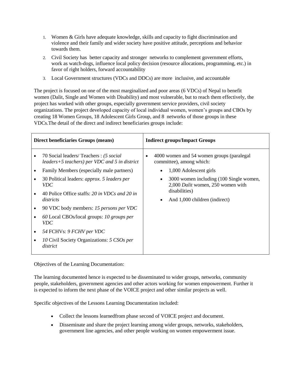- 1. Women & Girls have adequate knowledge, skills and capacity to fight discrimination and violence and their family and wider society have positive attitude, perceptions and behavior towards them.
- 2. Civil Society has better capacity and stronger networks to complement government efforts, work as watch-dogs, influence local policy decision (resource allocations, programming, etc.) in favor of right holders, forward accountability
- 3. Local Government structures (VDCs and DDCs) are more inclusive, and accountable

The project is focused on one of the most marginalized and poor areas (6 VDCs) of Nepal to benefit women (Dalit, Single and Women with Disability) and most vulnerable, but to reach them effectively, the project has worked with other groups, especially government service providers, civil society organizations. The project developed capacity of local individual women, women"s groups and CBOs by creating 18 Women Groups, 18 Adolescent Girls Group, and 8 networks of those groups in these VDCs.The detail of the direct and indirect beneficiaries groups include:

| Direct beneficiaries Groups (means) |                                                                                         | <b>Indirect groups/Impact Groups</b>                                               |  |  |
|-------------------------------------|-----------------------------------------------------------------------------------------|------------------------------------------------------------------------------------|--|--|
|                                     | 70 Social leaders/ Teachers: (5 social<br>leaders+5 teachers) per VDC and 5 in district | 4000 women and 54 women groups (paralegal<br>$\bullet$<br>committee), among which: |  |  |
|                                     | Family Members (especially male partners)                                               | 1,000 Adolescent girls                                                             |  |  |
|                                     | 30 Political leaders: <i>approx.</i> 5 <i>leaders per</i><br><i>VDC</i>                 | 3000 women including (100 Single women,<br>2,000 Dalit women, 250 women with       |  |  |
|                                     | 40 Police Office staffs: 20 in VDCs and 20 in<br>districts                              | disabilities)<br>And 1,000 children (indirect)                                     |  |  |
|                                     | 90 VDC body members: 15 persons per VDC                                                 |                                                                                    |  |  |
|                                     | 60 Local CBOs/local groups: 10 groups per<br><i>VDC</i>                                 |                                                                                    |  |  |
|                                     | 54 FCHVs: 9 FCHV per VDC                                                                |                                                                                    |  |  |
|                                     | 10 Civil Society Organizations: 5 CSOs per<br>district                                  |                                                                                    |  |  |

Objectives of the Learning Documentation:

The learning documented hence is expected to be disseminated to wider groups, networks, community people, stakeholders, government agencies and other actors working for women empowerment. Further it is expected to inform the next phase of the VOICE project and other similar projects as well.

Specific objectives of the Lessons Learning Documentation included:

- Collect the lessons learnedfrom phase second of VOICE project and document.
- Disseminate and share the project learning among wider groups, networks, stakeholders, government line agencies, and other people working on women empowerment issue.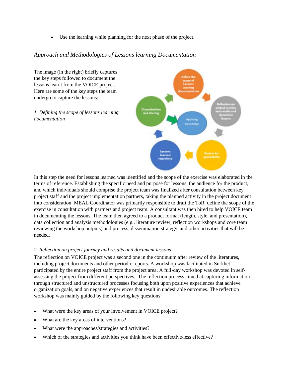Use the learning while planning for the next phase of the project.

# *Approach and Methodologies of Lessons learning Documentation*

The image (in the right) briefly captures the key steps followed to document the lessons learnt from the VOICE project. Here are some of the key steps the team undergo to capture the lessons:

*1. Defining the scope of lessons learning documentation*



In this step the need for lessons learned was identified and the scope of the exercise was elaborated in the terms of reference. Establishing the specific need and purpose for lessons, the audience for the product, and which individuals should comprise the project team was finalized after consultation between key project staff and the project implementation partners, taking the planned activity in the project document into consideration. MEAL Coordinator was primarily responsible to draft the ToR, define the scope of the exercise in consultation with partners and project team. A consultant was then hired to help VOICE team in documenting the lessons. The team then agreed to a product format (length, style, and presentation), data collection and analysis methodologies (e.g., literature review, reflection workshops and core team reviewing the workshop outputs) and process, dissemination strategy, and other activities that will be needed.

#### *2. Reflection on project journey and results and document lessons*

The reflection on VOICE project was a second one in the continuum after review of the literatures, including project documents and other periodic reports. A workshop was facilitated in Surkhet participated by the entire project staff from the project area. A full-day workshop was devoted in selfassessing the project from different perspectives. The reflection process aimed at capturing information through structured and unstructured processes focusing both upon positive experiences that achieve organization goals, and on negative experiences that result in undesirable outcomes. The reflection workshop was mainly guided by the following key questions:

- What were the key areas of your involvement in VOICE project?
- What are the key areas of interventions?
- What were the approaches/strategies and activities?
- Which of the strategies and activities you think have been effective/less effective?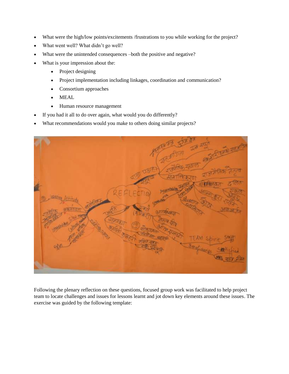- What were the high/low points/excitements /frustrations to you while working for the project?
- What went well? What didn't go well?
- What were the unintended consequences –both the positive and negative?
- What is your impression about the:
	- Project designing
	- Project implementation including linkages, coordination and communication?
	- Consortium approaches
	- MEAL
	- Human resource management
- If you had it all to do over again, what would you do differently?
- What recommendations would you make to others doing similar projects?



Following the plenary reflection on these questions, focused group work was facilitated to help project team to locate challenges and issues for lessons learnt and jot down key elements around these issues. The exercise was guided by the following template: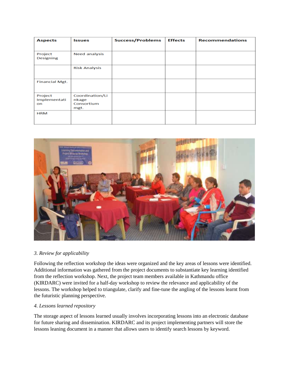| <b>Aspects</b>                | Issues                                         | <b>Success/Problems</b> | <b>Effects</b> | <b>Recommendations</b> |
|-------------------------------|------------------------------------------------|-------------------------|----------------|------------------------|
| Project<br>Designing          | <b>Need analysis</b>                           |                         |                |                        |
|                               | <b>Risk Analysis</b>                           |                         |                |                        |
| <b>Financial Mgt.</b>         |                                                |                         |                |                        |
| Project<br>Implementati<br>on | Coordination/Li<br>nkage<br>Consortium<br>mgt. |                         |                |                        |
| <b>HRM</b>                    |                                                |                         |                |                        |



#### *3. Review for applicability*

Following the reflection workshop the ideas were organized and the key areas of lessons were identified. Additional information was gathered from the project documents to substantiate key learning identified from the reflection workshop. Next, the project team members available in Kathmandu office (KIRDARC) were invited for a half-day workshop to review the relevance and applicability of the lessons. The workshop helped to triangulate, clarify and fine-tune the angling of the lessons learnt from the futuristic planning perspective.

#### *4. Lessons learned repository*

The storage aspect of lessons learned usually involves incorporating lessons into an electronic database for future sharing and dissemination. KIRDARC and its project implementing partners will store the lessons leaning document in a manner that allows users to identify search lessons by keyword.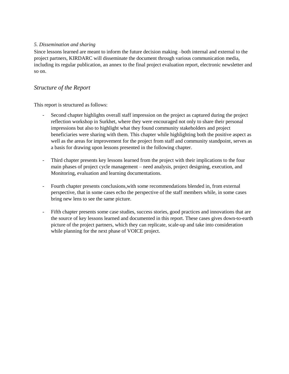#### *5. Dissemination and sharing*

Since lessons learned are meant to inform the future decision making –both internal and external to the project partners, KIRDARC will disseminate the document through various communication media, including its regular publication, an annex to the final project evaluation report, electronic newsletter and so on.

## *Structure of the Report*

This report is structured as follows:

- Second chapter highlights overall staff impression on the project as captured during the project reflection workshop in Surkhet, where they were encouraged not only to share their personal impressions but also to highlight what they found community stakeholders and project beneficiaries were sharing with them. This chapter while highlighting both the positive aspect as well as the areas for improvement for the project from staff and community standpoint, serves as a basis for drawing upon lessons presented in the following chapter.
- Third chapter presents key lessons learned from the project with their implications to the four main phases of project cycle management – need analysis, project designing, execution, and Monitoring, evaluation and learning documentations.
- Fourth chapter presents conclusions,with some recommendations blended in, from external perspective, that in some cases echo the perspective of the staff members while, in some cases bring new lens to see the same picture.
- Fifth chapter presents some case studies, success stories, good practices and innovations that are the source of key lessons learned and documented in this report. These cases gives down-to-earth picture of the project partners, which they can replicate, scale-up and take into consideration while planning for the next phase of VOICE project.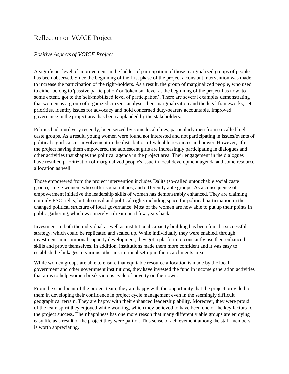# <span id="page-8-0"></span>Reflection on VOICE Project

## <span id="page-8-1"></span>*Positive Aspects of VOICE Project*

A significant level of improvement in the ladder of participation of those marginalized groups of people has been observed. Since the beginning of the first phase of the project a constant intervention was made to increase the participation of the right-holders. As a result, the group of marginalized people, who used to either belong to 'passive participation' or 'tokenism' level at the beginning of the project has now, to some extent, got to the 'self-mobilized level of participation'. There are several examples demonstrating that women as a group of organized citizens analyses their marginalization and the legal frameworks; set priorities, identify issues for advocacy and hold concerned duty-bearers accountable. Improved governance in the project area has been applauded by the stakeholders.

Politics had, until very recently, been seized by some local elites, particularly men from so-called high caste groups. As a result, young women were found not interested and not participating in issues/events of political significance - involvement in the distribution of valuable resources and power. However, after the project having them empowered the adolescent girls are increasingly participating in dialogues and other activities that shapes the political agenda in the project area. Their engagement in the dialogues have resulted prioritization of marginalized people's issue in local development agenda and some resource allocation as well.

Those empowered from the project intervention includes Dalits (so-called untouchable social caste group), single women, who suffer social taboos, and differently able groups. As a consequence of empowerment initiative the leadership skills of women has demonstrably enhanced. They are claiming not only ESC rights, but also civil and political rights including space for political participation in the changed political structure of local governance. Most of the women are now able to put up their points in public gathering, which was merely a dream until few years back.

Investment in both the individual as well as institutional capacity building has been found a successful strategy, which could be replicated and scaled up. While individually they were enabled, through investment in institutional capacity development, they got a platform to constantly use their enhanced skills and prove themselves. In addition, institutions made them more confident and it was easy to establish the linkages to various other institutional set-up in their catchments area.

While women groups are able to ensure that equitable resource allocation is made by the local government and other government institutions, they have invested the fund in income generation activities that aims to help women break vicious cycle of poverty on their own.

From the standpoint of the project team, they are happy with the opportunity that the project provided to them in developing their confidence in project cycle management even in the seemingly difficult geographical terrain. They are happy with their enhanced leadership ability. Moreover, they were proud of the team spirit they enjoyed while working, which they believed to have been one of the key factors for the project success. Their happiness has one more reason that many differently able groups are enjoying easy life as a result of the project they were part of. This sense of achievement among the staff members is worth appreciating.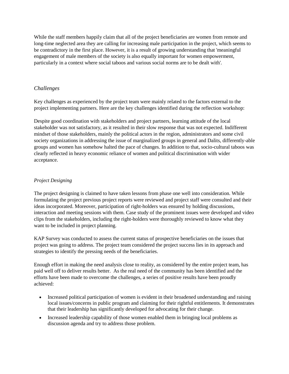While the staff members happily claim that all of the project beneficiaries are women from remote and long-time neglected area they are calling for increasing male participation in the project, which seems to be contradictory in the first place. However, it is a result of growing understanding that 'meaningful engagement of male members of the society is also equally important for women empowerment, particularly in a context where social taboos and various social norms are to be dealt with'.

## <span id="page-9-0"></span>*Challenges*

Key challenges as experienced by the project team were mainly related to the factors external to the project implementing partners. Here are the key challenges identified during the reflection workshop:

Despite good coordination with stakeholders and project partners, learning attitude of the local stakeholder was not satisfactory, as it resulted in their slow response that was not expected. Indifferent mindset of those stakeholders, mainly the political actors in the region, administrators and some civil society organizations in addressing the issue of marginalized groups in general and Dalits, differently-able groups and women has somehow halted the pace of changes. In addition to that, socio-cultural taboos was clearly reflected in heavy economic reliance of women and political discrimination with wider acceptance.

## *Project Designing*

The project designing is claimed to have taken lessons from phase one well into consideration. While formulating the project previous project reports were reviewed and project staff were consulted and their ideas incorporated. Moreover, participation of right-holders was ensured by holding discussions, interaction and meeting sessions with them. Case study of the prominent issues were developed and video clips from the stakeholders, including the right-holders were thoroughly reviewed to know what they want to be included in project planning.

KAP Survey was conducted to assess the current status of prospective beneficiaries on the issues that project was going to address. The project team considered the project success lies in its approach and strategies to identify the pressing needs of the beneficiaries.

Enough effort in making the need analysis close to reality, as considered by the entire project team, has paid well off to deliver results better. As the real need of the community has been identified and the efforts have been made to overcome the challenges, a series of positive results have been proudly achieved:

- Increased political participation of women is evident in their broadened understanding and raising local issues/concerns in public program and claiming for their rightful entitlements. It demonstrates that their leadership has significantly developed for advocating for their change.
- Increased leadership capability of those women enabled them in bringing local problems as discussion agenda and try to address those problem.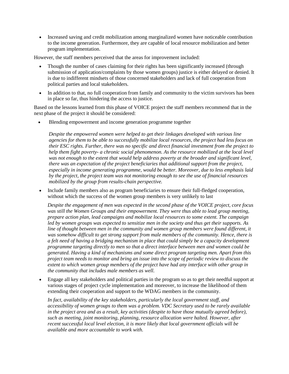Increased saving and credit mobilization among marginalized women have noticeable contribution to the income generation. Furthermore, they are capable of local resource mobilization and better program implementation.

However, the staff members perceived that the areas for improvement included:

- Though the number of cases claiming for their rights has been significantly increased (through submission of application/complaints by those women groups) justice is either delayed or denied. It is due to indifferent mindsets of those concerned stakeholders and lack of full cooperation from political parties and local stakeholders.
- In addition to that, no full cooperation from family and community to the victim survivors has been in place so far, thus hindering the access to justice.

Based on the lessons learned from this phase of VOICE project the staff members recommend that in the next phase of the project it should be considered:

Blending empowerment and income generation programme together

*Despite the empowered women were helped to get their linkages developed with various line agencies for them to be able to successfully mobilize local resources, the project had less focus on their ESC rights. Further, there was no specific and direct financial investment from the project to help them fight poverty- a chronic social phenomenon. As the resource mobilized at the local level was not enough to the extent that would help address poverty at the broader and significant level, there was an expectation of the project beneficiaries that additional support from the project, especially in income generating programme, would be better. Moreover, due to less emphasis laid by the project, the project team was not monitoring enough to see the use of financial resources mobilized by the group from results-chain perspective.* 

 Include family members also as program beneficiaries to ensure their full-fledged cooperation, without which the success of the women group members is very unlikely to last

*Despite the engagement of men was expected in the second phase of the VOICE project, core focus was still the Women Groups and their empowerment. They were thus able to lead group meeting, prepare action plan, lead campaigns and mobilize local resources to some extent. The campaign led by women groups was expected to sensitize men in the society and thus get their supports. As line of thought between men in the community and women group members were found different, it was somehow difficult to get strong support from male members of the community. Hence, there is a felt need of having a bridging mechanism in place that could simply be a capacity development programme targeting directly to men so that a direct interface between men and women could be generated. Having a kind of mechanisms and some direct program targeting men. Apart from this project team needs to monitor and bring an issue into the scope of periodic review to discuss the extent to which women group members of the project have had any interface with other group in the community that includes male members as well.* 

 Engage all key stakeholders and political parties in the program so as to get their needful support at various stages of project cycle implementation and moreover, to increase the likelihood of them extending their cooperation and support to the WDAG members in the community.

*In fact, availability of the key stakeholders, particularly the local government staff, and accessibility of women groups to them was a problem. VDC Secretary used to be rarely available in the project area and as a result, key activities (despite to have those mutually agreed before), such as meeting, joint monitoring, planning, resource allocation were halted. However, after recent successful local level election, it is more likely that local government officials will be available and more accountable to work with.*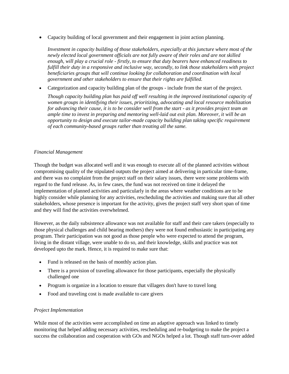Capacity building of local government and their engagement in joint action planning.

*Investment in capacity building of those stakeholders, especially at this juncture where most of the newly elected local government officials are not fully aware of their roles and are not skilled enough, will play a crucial role - firstly, to ensure that duty bearers have enhanced readiness to fulfill their duty in a responsive and inclusive way, secondly, to link those stakeholders with project beneficiaries groups that will continue looking for collaboration and coordination with local government and other stakeholders to ensure that their rights are fulfilled.* 

Categorization and capacity building plan of the groups - include from the start of the project.

*Though capacity building plan has paid off well resulting in the improved institutional capacity of women groups in identifying their issues, prioritizing, advocating and local resource mobilization for advancing their cause, it is to be consider well from the start - as it provides project team an ample time to invest in preparing and mentoring well-laid out exit plan. Moreover, it will be an opportunity to design and execute tailor-made capacity building plan taking specific requirement of each community-based groups rather than treating all the same.*

#### *Financial Management*

Though the budget was allocated well and it was enough to execute all of the planned activities without compromising quality of the stipulated outputs the project aimed at delivering in particular time-frame, and there was no complaint from the project staff on their salary issues, there were some problems with regard to the fund release. As, in few cases, the fund was not received on time it delayed the implementation of planned activities and particularly in the areas where weather conditions are to be highly consider while planning for any activities, rescheduling the activities and making sure that all other stakeholders, whose presence is important for the activity, gives the project staff very short span of time and they will find the activities overwhelmed.

However, as the daily subsistence allowance was not available for staff and their care takers (especially to those physical challenges and child bearing mothers) they were not found enthusiastic in participating any program. Their participation was not good as those people who were expected to attend the program, living in the distant village, were unable to do so, and their knowledge, skills and practice was not developed upto the mark. Hence, it is required to make sure that:

- Fund is released on the basis of monthly action plan.
- There is a provision of traveling allowance for those participants, especially the physically challenged one
- Program is organize in a location to ensure that villagers don't have to travel long
- Food and traveling cost is made available to care given

#### *Project Implementation*

While most of the activities were accomplished on time an adaptive approach was linked to timely monitoring that helped adding necessary activities, rescheduling and re-budgeting to make the project a success the collaboration and cooperation with GOs and NGOs helped a lot. Though staff turn-over added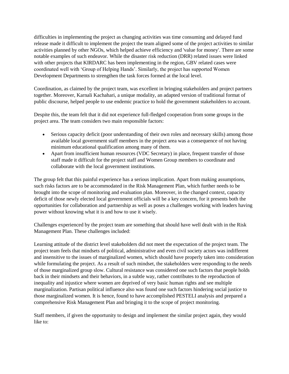difficulties in implementing the project as changing activities was time consuming and delayed fund release made it difficult to implement the project the team aligned some of the project activities to similar activities planned by other NGOs, which helped achieve efficiency and 'value for money'. There are some notable examples of such endeavor. While the disaster risk reduction (DRR) related issues were linked with other projects that KIRDARC has been implementing in the region, GBV related cases were coordinated well with "Group of Helping Hands". Similarly, the project has supported Women Development Departments to strengthen the task forces formed at the local level.

Coordination, as claimed by the project team, was excellent in bringing stakeholders and project partners together. Moreover, Karnali Kachahari, a unique modality, an adapted version of traditional format of public discourse, helped people to use endemic practice to hold the government stakeholders to account.

Despite this, the team felt that it did not experience full-fledged cooperation from some groups in the project area. The team considers two main responsible factors:

- Serious capacity deficit (poor understanding of their own roles and necessary skills) among those available local government staff members in the project area was a consequence of not having minimum educational qualification among many of them.
- Apart from insufficient human resources (VDC Secretary) in place, frequent transfer of those staff made it difficult for the project staff and Women Group members to coordinate and collaborate with the local government institutions.

The group felt that this painful experience has a serious implication. Apart from making assumptions, such risks factors are to be accommodated in the Risk Management Plan, which further needs to be brought into the scope of monitoring and evaluation plan. Moreover, in the changed context, capacity deficit of those newly elected local government officials will be a key concern, for it presents both the opportunities for collaboration and partnership as well as poses a challenges working with leaders having power without knowing what it is and how to use it wisely.

Challenges experienced by the project team are something that should have well dealt with in the Risk Management Plan. These challenges included:

Learning attitude of the district level stakeholders did not meet the expectation of the project team. The project team feels that mindsets of political, administrative and even civil society actors was indifferent and insensitive to the issues of marginalized women, which should have properly taken into consideration while formulating the project. As a result of such mindset, the stakeholders were responding to the needs of those marginalized group slow. Cultural resistance was considered one such factors that people holds back in their mindsets and their behaviors, in a subtle way, rather contributes to the reproduction of inequality and injustice where women are deprived of very basic human rights and see multiple marginalization. Partisan political influence also was found one such factors hindering social justice to those marginalized women. It is hence, found to have accomplished PESTELI analysis and prepared a comprehensive Risk Management Plan and bringing it to the scope of project monitoring.

Staff members, if given the opportunity to design and implement the similar project again, they would like to: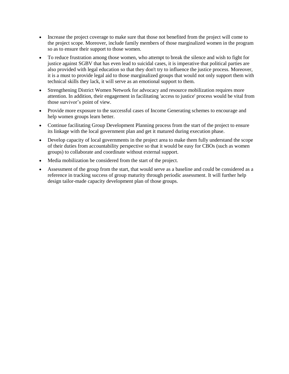- Increase the project coverage to make sure that those not benefited from the project will come to the project scope. Moreover, include family members of those marginalized women in the program so as to ensure their support to those women.
- To reduce frustration among those women, who attempt to break the silence and wish to fight for justice against SGBV that has even lead to suicidal cases, it is imperative that political parties are also provided with legal education so that they don't try to influence the justice process. Moreover, it is a must to provide legal aid to those marginalized groups that would not only support them with technical skills they lack, it will serve as an emotional support to them.
- Strengthening District Women Network for advocacy and resource mobilization requires more attention. In addition, their engagement in facilitating 'access to justice' process would be vital from those survivor"s point of view.
- Provide more exposure to the successful cases of Income Generating schemes to encourage and help women groups learn better.
- Continue facilitating Group Development Planning process from the start of the project to ensure its linkage with the local government plan and get it matured during execution phase.
- Develop capacity of local governments in the project area to make them fully understand the scope of their duties from accountability perspective so that it would be easy for CBOs (such as women groups) to collaborate and coordinate without external support.
- Media mobilization be considered from the start of the project.
- <span id="page-13-0"></span> Assessment of the group from the start, that would serve as a baseline and could be considered as a reference in tracking success of group maturity through periodic assessment. It will further help design tailor-made capacity development plan of those groups.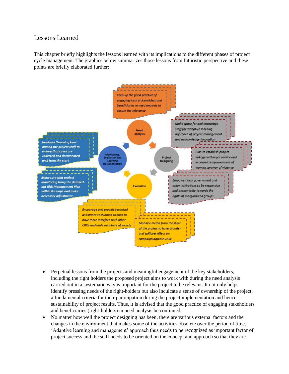# Lessons Learned

This chapter briefly highlights the lessons learned with its implications to the different phases of project cycle management. The graphics below summarizes those lessons from futuristic perspective and these points are briefly elaborated further:



- Perpetual lessons from the projects and meaningful engagement of the key stakeholders, including the right holders the proposed project aims to work with during the need analysis carried out in a systematic way is important for the project to be relevant. It not only helps identify pressing needs of the right-holders but also inculcate a sense of ownership of the project, a fundamental criteria for their participation during the project implementation and hence sustainability of project results. Thus, it is advised that the good practice of engaging stakeholders and beneficiaries (right-holders) in need analysis be continued.
- No matter how well the project designing has been, there are various external factors and the changes in the environment that makes some of the activities obsolete over the period of time. "Adaptive learning and management" approach thus needs to be recognized as important factor of project success and the staff needs to be oriented on the concept and approach so that they are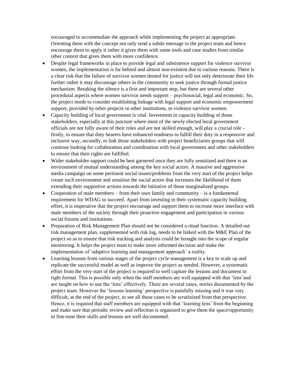encouraged to accommodate the approach while implementing the project as appropriate. Orienting them with the concept not only send a subtle message to the project team and hence encourage them to apply it rather it gives them with some tools and case studies from similar other context that gives them with more confidence.

- Despite legal frameworks in place to provide legal and subsistence support for violence survivor women, the implementation is far behind and almost non-existent due to various reasons. There is a clear risk that the failure of survivor women denied for justice will not only deteriorate their life further rather it may discourage others in the community to seek justice through formal justice mechanism. Breaking the silence is a first and important step, but there are several other procedural aspects where women survivor needs support – psychosocial, legal and economic. So, the project needs to consider establishing linkage with legal support and economic empowerment support, provided by other projects or other institutions, to violence survivor women.
- Capacity building of local government is vital. Investment in capacity building of those stakeholders, especially at this juncture where most of the newly elected local government officials are not fully aware of their roles and are not skilled enough, will play a crucial role firstly, to ensure that duty bearers have enhanced readiness to fulfill their duty in a responsive and inclusive way, secondly, to link those stakeholders with project beneficiaries groups that will continue looking for collaboration and coordination with local government and other stakeholders to ensure that their rights are fulfilled.
- Wider stakeholder support could be best garnered once they are fully sensitized and there is an environment of mutual understanding among the key social actors. A massive and aggressive media campaign on some pertinent social issues/problems from the very start of the project helps create such environment and sensitize the social actors that increases the likelihood of them extending their supportive actions towards the initiative of those marginalized groups.
- Cooperation of male members from their own family and community is a fundamental requirement for WDAG to succeed. Apart from investing in their systematic capacity building effort, it is imperative that the project encourage and support them to increase more interface with male members of the society through their proactive engagement and participation in various social forums and institutions.
- Preparation of Risk Management Plan should not be considered a ritual function. A detailed out risk management plan, supplemented with risk log, needs to be linked with the M&E Plan of the project so as to ensure that risk tracking and analysis could be brought into the scope of regular monitoring. It helps the project team to make more informed decision and make the implementation of 'adaptive learning and management approach' a reality.
- Learning lessons from various stages of the project cycle management is a key to scale up and replicate the successful model as well as improve the project as needed. However, a systematic effort from the very start of the project is required to well capture the lessons and document in right format. This is possible only when the staff members are well equipped with that "lens"and are taught on how to use the "lens" effectively. There are several cases, stories documented by the project team. However the 'lessons learning' perspective is painfully missing and it was very difficult, at the end of the project, to see all those cases to be scrutinized from that perspective. Hence, it is required that staff members are equipped with that 'learning lens' from the beginning and make sure that periodic review and reflection is organized to give them the space/opportunity to fine-tune their skills and lessons are well documented.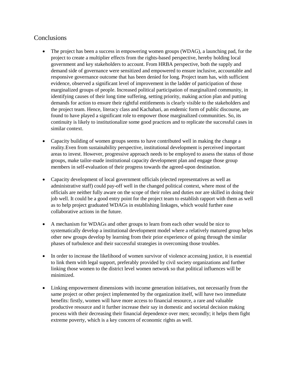# <span id="page-16-0"></span>**Conclusions**

- The project has been a success in empowering women groups (WDAG), a launching pad, for the project to create a multiplier effects from the rights-based perspective, hereby holding local government and key stakeholders to account. From HRBA perspective, both the supply and demand side of governance were sensitized and empowered to ensure inclusive, accountable and responsive governance outcome that has been denied for long. Project team has, with sufficient evidence, observed a significant level of improvement in the ladder of participation of those marginalized groups of people. Increased political participation of marginalized community, in identifying causes of their long time suffering, setting priority, making action plan and putting demands for action to ensure their rightful entitlements is clearly visible to the stakeholders and the project team. Hence, literacy class and Kachahari, an endemic form of public discourse, are found to have played a significant role to empower those marginalized communities. So, its continuity is likely to institutionalize some good practices and to replicate the successful cases in similar context.
- Capacity building of women groups seems to have contributed well in making the change a reality.Even from sustainability perspective, institutional development is perceived important areas to invest. However, progressive approach needs to be employed to assess the status of those groups, make tailor-made institutional capacity development plan and engage those group members in self-evaluation of their progress towards the agreed-upon destination.
- Capacity development of local government officials (elected representatives as well as administrative staff) could pay-off well in the changed political context, where most of the officials are neither fully aware on the scope of their roles and duties nor are skilled in doing their job well. It could be a good entry point for the project team to establish rapport with them as well as to help project graduated WDAGs in establishing linkages, which would further ease collaborative actions in the future.
- A mechanism for WDAGs and other groups to learn from each other would be nice to systematically develop a institutional development model where a relatively matured group helps other new groups develop by learning from their prior experience of going through the similar phases of turbulence and their successful strategies in overcoming those troubles.
- In order to increase the likelihood of women survivor of violence accessing justice, it is essential to link them with legal support, preferably provided by civil society organizations and further linking those women to the district level women network so that political influences will be minimized.
- Linking empowerment dimensions with income generation initiatives, not necessarily from the same project or other project implemented by the organization itself, will have two immediate benefits: firstly, women will have more access to financial resource, a rare and valuable productive resource and it further increase their say in domestic and societal decision making process with their decreasing their financial dependence over men; secondly; it helps them fight extreme poverty, which is a key concern of economic rights as well.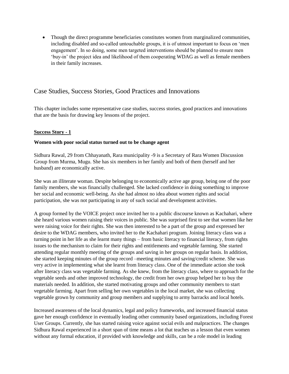Though the direct programme beneficiaries constitutes women from marginalized communities, including disabled and so-called untouchable groups, it is of utmost important to focus on "men engagement". In so doing, some men targeted interventions should be planned to ensure men "buy-in" the project idea and likelihood of them cooperating WDAG as well as female members in their family increases.

# <span id="page-17-0"></span>Case Studies, Success Stories, Good Practices and Innovations

This chapter includes some representative case studies, success stories, good practices and innovations that are the basis for drawing key lessons of the project.

#### **Success Story - 1**

#### **Women with poor social status turned out to be change agent**

Sidhura Rawal, 29 from Chhayanath, Rara municipality -9 is a Secretary of Rara Women Discussion Group from Murma, Mugu. She has six members in her family and both of them (herself and her husband) are economically active.

She was an illiterate woman. Despite belonging to economically active age group, being one of the poor family members, she was financially challenged. She lacked confidence in doing something to improve her social and economic well-being. As she had almost no idea about women rights and social participation, she was not participating in any of such social and development activities.

A group formed by the VOICE project once invited her to a public discourse known as Kachahari, where she heard various women raising their voices in public. She was surprised first to see that women like her were raising voice for their rights. She was then interested to be a part of the group and expressed her desire to the WDAG members, who invited her to the Kachahari program. Joining literacy class was a turning point in her life as she learnt many things – from basic literacy to financial literacy, from rights issues to the mechanism to claim for their rights and entitlements and vegetable farming. She started attending regular monthly meeting of the groups and saving in her groups on regular basis. In addition, she started keeping minutes of the group record –meeting minutes and saving/credit scheme. She was very active in implementing what she learnt from literacy class. One of the immediate action she took after literacy class was vegetable farming. As she knew, from the literacy class, where to approach for the vegetable seeds and other improved technology, the credit from her own group helped her to buy the materials needed. In addition, she started motivating groups and other community members to start vegetable farming. Apart from selling her own vegetables in the local market, she was collecting vegetable grown by community and group members and supplying to army barracks and local hotels.

Increased awareness of the local dynamics, legal and policy frameworks, and increased financial status gave her enough confidence in eventually leading other community based organizations, including Forest User Groups. Currently, she has started raising voice against social evils and malpractices. The changes Sidhura Rawal experienced in a short span of time means a lot that teaches us a lesson that even women without any formal education, if provided with knowledge and skills, can be a role model in leading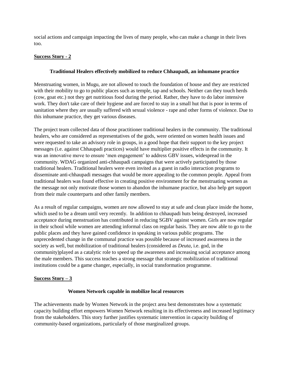social actions and campaign impacting the lives of many people, who can make a change in their lives too.

#### **Success Story - 2**

#### **Traditional Healers effectively mobilized to reduce Chhaupadi, an inhumane practice**

Menstruating women, in Mugu, are not allowed to touch the foundation of house and they are restricted with their mobility to go to public places such as temple, tap and schools. Neither can they touch herds (cow, goat etc.) not they get nutritious food during the period. Rather, they have to do labor intensive work. They don't take care of their hygiene and are forced to stay in a small hut that is poor in terms of sanitation where they are usually suffered with sexual violence - rape and other forms of violence. Due to this inhumane practice, they get various diseases.

The project team collected data of those practitioner traditional healers in the community. The traditional healers, who are considered as representatives of the gods, were oriented on women health issues and were requested to take an advisory role in groups, in a good hope that their support to the key project messages (i.e. against Chhaupadi practices) would have multiplier positive effects in the community. It was an innovative move to ensure "men engagement" to address GBV issues, widespread in the community. WDAG organized anti-chhaupadi campaigns that were actively participated by those traditional healers. Traditional healers were even invited as a guest in radio interaction programs to disseminate anti-chhaupadi messages that would be more appealing to the common people. Appeal from traditional healers was found effective in creating positive environment for the menstruating women as the message not only motivate those women to abandon the inhumane practice, but also help get support from their male counterparts and other family members.

As a result of regular campaigns, women are now allowed to stay at safe and clean place inside the home, which used to be a dream until very recently. In addition to chhaupadi huts being destroyed, increased acceptance during menstruation has contributed in reducing SGBV against women. Girls are now regular in their school while women are attending informal class on regular basis. They are now able to go to the public places and they have gained confidence in speaking in various public programs. The unprecedented change in the communal practice was possible because of increased awareness in the society as well, but mobilization of traditional healers (considered as *Deuta*, i.e. god, in the community)played as a catalytic role to speed up the awareness and increasing social acceptance among the male members. This success teaches a strong message that strategic mobilization of traditional institutions could be a game changer, especially, in social transformation programme.

#### **Success Story – 3**

#### **Women Network capable in mobilize local resources**

The achievements made by Women Network in the project area best demonstrates how a systematic capacity building effort empowers Women Network resulting in its effectiveness and increased legitimacy from the stakeholders. This story further justifies systematic intervention in capacity building of community-based organizations, particularly of those marginalized groups.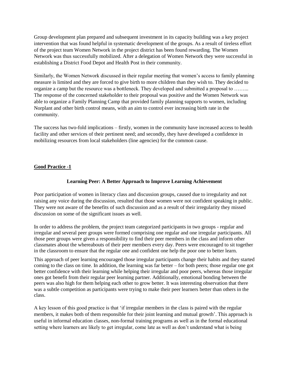Group development plan prepared and subsequent investment in its capacity building was a key project intervention that was found helpful in systematic development of the groups. As a result of tireless effort of the project team Women Network in the project district has been found rewarding. The Women Network was thus successfully mobilized. After a delegation of Women Network they were successful in establishing a District Food Depot and Health Post in their community.

Similarly, the Women Network discussed in their regular meeting that women"s access to family planning measure is limited and they are forced to give birth to more children than they wish to. They decided to organize a camp but the resource was a bottleneck. They developed and submitted a proposal to ……... The response of the concerned stakeholder to their proposal was positive and the Women Network was able to organize a Family Planning Camp that provided family planning supports to women, including Norplant and other birth control means, with an aim to control ever increasing birth rate in the community.

The success has two-fold implications – firstly, women in the community have increased access to health facility and other services of their pertinent need; and secondly, they have developed a confidence in mobilizing resources from local stakeholders (line agencies) for the common cause.

#### **Good Practice -1**

#### **Learning Peer: A Better Approach to Improve Learning Achievement**

Poor participation of women in literacy class and discussion groups, caused due to irregularity and not raising any voice during the discussion, resulted that those women were not confident speaking in public. They were not aware of the benefits of such discussion and as a result of their irregularity they missed discussion on some of the significant issues as well.

In order to address the problem, the project team categorized participants in two groups - regular and irregular and several peer groups were formed comprising one regular and one irregular participants. All those peer groups were given a responsibility to find their peer members in the class and inform other classmates about the whereabouts of their peer members every day. Peers were encouraged to sit together in the classroom to ensure that the regular one and confident one help the poor one to better learn.

This approach of peer learning encouraged those irregular participants change their habits and they started coming to the class on time. In addition, the learning was far better – for both peers; those regular one got better confidence with their learning while helping their irregular and poor peers, whereas those irregular ones got benefit from their regular peer learning partner. Additionally, emotional bonding between the peers was also high for them helping each other to grow better. It was interesting observation that there was a subtle competition as participants were trying to make their peer learners better than others in the class.

A key lesson of this good practice is that "if irregular members in the class is paired with the regular members, it makes both of them responsible for their joint learning and mutual growth'. This approach is useful in informal education classes, non-formal training programs as well as in the formal educational setting where learners are likely to get irregular, come late as well as don"t understand what is being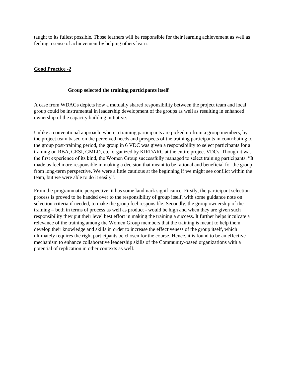taught to its fullest possible. Those learners will be responsible for their learning achievement as well as feeling a sense of achievement by helping others learn.

#### **Good Practice -2**

#### **Group selected the training participants itself**

A case from WDAGs depicts how a mutually shared responsibility between the project team and local group could be instrumental in leadership development of the groups as well as resulting in enhanced ownership of the capacity building initiative.

Unlike a conventional approach, where a training participants are picked up from a group members, by the project team based on the perceived needs and prospects of the training participants in contributing to the group post-training period, the group in 6 VDC was given a responsibility to select participants for a training on RBA, GESI, GMLD, etc. organized by KIRDARC at the entire project VDCs. Though it was the first experience of its kind, the Women Group successfully managed to select training participants. "It made us feel more responsible in making a decision that meant to be rational and beneficial for the group from long-term perspective. We were a little cautious at the beginning if we might see conflict within the team, but we were able to do it easily".

From the programmatic perspective, it has some landmark significance. Firstly, the participant selection process is proved to be handed over to the responsibility of group itself, with some guidance note on selection criteria if needed, to make the group feel responsible. Secondly, the group ownership of the training – both in terms of process as well as product - would be high and when they are given such responsibility they put their level best effort in making the training a success. It further helps inculcate a relevance of the training among the Women Group members that the training is meant to help them develop their knowledge and skills in order to increase the effectiveness of the group itself, which ultimately requires the right participants be chosen for the course. Hence, it is found to be an effective mechanism to enhance collaborative leadership skills of the Community-based organizations with a potential of replication in other contexts as well.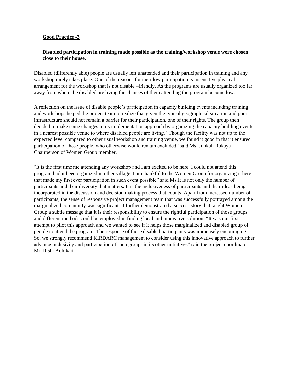#### **Good Practice -3**

#### **Disabled participation in training made possible as the training/workshop venue were chosen close to their house.**

Disabled (differently able) people are usually left unattended and their participation in training and any workshop rarely takes place. One of the reasons for their low participation is insensitive physical arrangement for the workshop that is not disable –friendly. As the programs are usually organized too far away from where the disabled are living the chances of them attending the program become low.

A reflection on the issue of disable people"s participation in capacity building events including training and workshops helped the project team to realize that given the typical geographical situation and poor infrastructure should not remain a barrier for their participation, one of their rights. The group then decided to make some changes in its implementation approach by organizing the capacity building events in a nearest possible venue to where disabled people are living. "Though the facility was not up to the expected level compared to other usual workshop and training venue, we found it good in that it ensured participation of those people, who otherwise would remain excluded" said Ms. Junkali Rokaya Chairperson of Women Group member.

"It is the first time me attending any workshop and I am excited to be here. I could not attend this program had it been organized in other village. I am thankful to the Women Group for organizing it here that made my first ever participation in such event possible" said Ms.It is not only the number of participants and their diversity that matters. It is the inclusiveness of participants and their ideas being incorporated in the discussion and decision making process that counts. Apart from increased number of participants, the sense of responsive project management team that was successfully portrayed among the marginalized community was significant. It further demonstrated a success story that taught Women Group a subtle message that it is their responsibility to ensure the rightful participation of those groups and different methods could be employed in finding local and innovative solution. "It was our first attempt to pilot this approach and we wanted to see if it helps those marginalized and disabled group of people to attend the program. The response of those disabled participants was immensely encouraging. So, we strongly recommend KIRDARC management to consider using this innovative approach to further advance inclusivity and participation of such groups in its other initiatives" said the project coordinator Mr. Rishi Adhikari.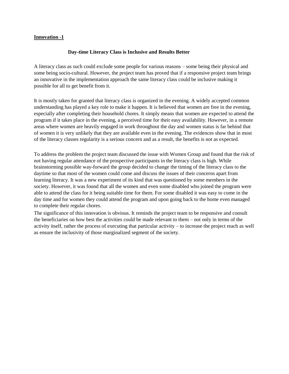#### **Innovation -1**

#### **Day-time Literacy Class is Inclusive and Results Better**

A literacy class as such could exclude some people for various reasons – some being their physical and some being socio-cultural. However, the project team has proved that if a responsive project team brings an innovative in the implementation approach the same literacy class could be inclusive making it possible for all to get benefit from it.

It is mostly taken for granted that literacy class is organized in the evening. A widely accepted common understanding has played a key role to make it happen. It is believed that women are free in the evening, especially after completing their household chores. It simply means that women are expected to attend the program if it takes place in the evening, a perceived time for their easy availability. However, in a remote areas where women are heavily engaged in work throughout the day and women status is far behind that of women it is very unlikely that they are available even in the evening. The evidences show that in most of the literacy classes regularity is a serious concern and as a result, the benefits is not as expected.

To address the problem the project team discussed the issue with Women Group and found that the risk of not having regular attendance of the prospective participants in the literacy class is high. While brainstorming possible way-forward the group decided to change the timing of the literacy class to the daytime so that most of the women could come and discuss the issues of their concerns apart from learning literacy. It was a new experiment of its kind that was questioned by some members in the society. However, it was found that all the women and even some disabled who joined the program were able to attend the class for it being suitable time for them. For some disabled it was easy to come in the day time and for women they could attend the program and upon going back to the home even managed to complete their regular chores.

The significance of this innovation is obvious. It reminds the project team to be responsive and consult the beneficiaries on how best the activities could be made relevant to them – not only in terms of the activity itself, rather the process of executing that particular activity – to increase the project reach as well as ensure the inclusivity of those marginalized segment of the society.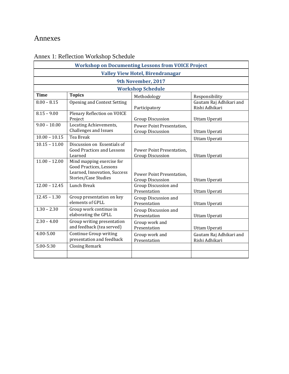# <span id="page-23-0"></span>Annexes

| <b>Workshop on Documenting Lessons from VOICE Project</b> |                                                                                                                     |                                                      |                                           |  |  |  |  |
|-----------------------------------------------------------|---------------------------------------------------------------------------------------------------------------------|------------------------------------------------------|-------------------------------------------|--|--|--|--|
| <b>Valley View Hotel, Birendranagar</b>                   |                                                                                                                     |                                                      |                                           |  |  |  |  |
| 9th November, 2017                                        |                                                                                                                     |                                                      |                                           |  |  |  |  |
| <b>Workshop Schedule</b>                                  |                                                                                                                     |                                                      |                                           |  |  |  |  |
| <b>Time</b>                                               | <b>Topics</b>                                                                                                       | Methodology                                          | Responsibility                            |  |  |  |  |
| $8.00 - 8.15$                                             | Opening and Context Setting                                                                                         | Participatory                                        | Gautam Raj Adhikari and<br>Rishi Adhikari |  |  |  |  |
| $8.15 - 9.00$                                             | Plenary Reflection on VOICE<br>Project                                                                              | <b>Group Discussion</b>                              | Uttam Uperati                             |  |  |  |  |
| $9.00 - 10.00$                                            | Locating Achievements,<br><b>Challenges and Issues</b>                                                              | Power Point Presentation.<br><b>Group Discussion</b> | Uttam Uperati                             |  |  |  |  |
| $10.00 - 10.15$                                           | <b>Tea Break</b>                                                                                                    |                                                      | Uttam Uperati                             |  |  |  |  |
| $10.15 - 11.00$                                           | Discussion on Essentials of<br><b>Good Practices and Lessons</b><br>Learned                                         | Power Point Presentation.<br><b>Group Discussion</b> | Uttam Uperati                             |  |  |  |  |
| $11.00 - 12.00$                                           | Mind mapping exercise for<br><b>Good Practices, Lessons</b><br>Learned, Innovation, Success<br>Stories/Case Studies | Power Point Presentation.<br><b>Group Discussion</b> | Uttam Uperati                             |  |  |  |  |
| $12.00 - 12.45$                                           | <b>Lunch Break</b>                                                                                                  | <b>Group Discussion and</b><br>Presentation          | Uttam Uperati                             |  |  |  |  |
| $12.45 - 1.30$                                            | Group presentation on key<br>elements of GPLL                                                                       | Group Discussion and<br>Presentation                 | Uttam Uperati                             |  |  |  |  |
| $1.30 - 2.30$                                             | Group work continue in<br>elaborating the GPLL                                                                      | Group Discussion and<br>Presentation                 | Uttam Uperati                             |  |  |  |  |
| $2.30 - 4.00$                                             | Group writing presentation<br>and feedback (tea served)                                                             | Group work and<br>Presentation                       | Uttam Uperati                             |  |  |  |  |
| 4.00-5.00                                                 | Continue Group writing<br>presentation and feedback                                                                 | Group work and<br>Presentation                       | Gautam Raj Adhikari and<br>Rishi Adhikari |  |  |  |  |
| 5.00-5:30                                                 | <b>Closing Remark</b>                                                                                               |                                                      |                                           |  |  |  |  |
|                                                           |                                                                                                                     |                                                      |                                           |  |  |  |  |

# <span id="page-23-1"></span>Annex 1: Reflection Workshop Schedule